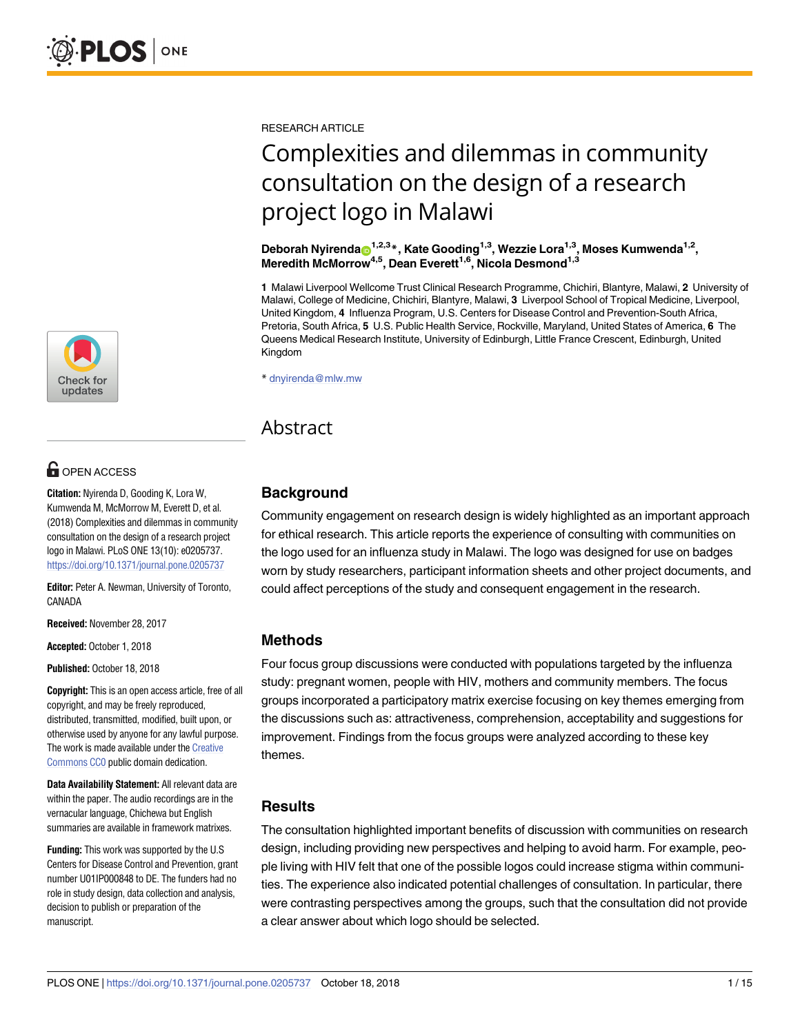

# **OPEN ACCESS**

**Citation:** Nyirenda D, Gooding K, Lora W, Kumwenda M, McMorrow M, Everett D, et al. (2018) Complexities and dilemmas in community consultation on the design of a research project logo in Malawi. PLoS ONE 13(10): e0205737. <https://doi.org/10.1371/journal.pone.0205737>

**Editor:** Peter A. Newman, University of Toronto, CANADA

**Received:** November 28, 2017

**Accepted:** October 1, 2018

**Published:** October 18, 2018

**Copyright:** This is an open access article, free of all copyright, and may be freely reproduced, distributed, transmitted, modified, built upon, or otherwise used by anyone for any lawful purpose. The work is made available under the [Creative](https://creativecommons.org/publicdomain/zero/1.0/) [Commons](https://creativecommons.org/publicdomain/zero/1.0/) CC0 public domain dedication.

**Data Availability Statement:** All relevant data are within the paper. The audio recordings are in the vernacular language, Chichewa but English summaries are available in framework matrixes.

**Funding:** This work was supported by the U.S Centers for Disease Control and Prevention, grant number U01IP000848 to DE. The funders had no role in study design, data collection and analysis. decision to publish or preparation of the manuscript.

RESEARCH ARTICLE

# Complexities and dilemmas in community consultation on the design of a research project logo in Malawi

**Deborah Nyirenda**<sup>1,2,3</sup><sup>\*</sup>, Kate Gooding<sup>1,3</sup>, Wezzie Lora<sup>1,3</sup>, Moses Kumwenda<sup>1,2</sup>, **Meredith McMorrow4,5, Dean Everett1,6, Nicola Desmond1,3**

**1** Malawi Liverpool Wellcome Trust Clinical Research Programme, Chichiri, Blantyre, Malawi, **2** University of Malawi, College of Medicine, Chichiri, Blantyre, Malawi, **3** Liverpool School of Tropical Medicine, Liverpool, United Kingdom, **4** Influenza Program, U.S. Centers for Disease Control and Prevention-South Africa, Pretoria, South Africa, **5** U.S. Public Health Service, Rockville, Maryland, United States of America, **6** The Queens Medical Research Institute, University of Edinburgh, Little France Crescent, Edinburgh, United Kingdom

\* dnyirenda@mlw.mw

# Abstract

# **Background**

Community engagement on research design is widely highlighted as an important approach for ethical research. This article reports the experience of consulting with communities on the logo used for an influenza study in Malawi. The logo was designed for use on badges worn by study researchers, participant information sheets and other project documents, and could affect perceptions of the study and consequent engagement in the research.

# **Methods**

Four focus group discussions were conducted with populations targeted by the influenza study: pregnant women, people with HIV, mothers and community members. The focus groups incorporated a participatory matrix exercise focusing on key themes emerging from the discussions such as: attractiveness, comprehension, acceptability and suggestions for improvement. Findings from the focus groups were analyzed according to these key themes.

# **Results**

The consultation highlighted important benefits of discussion with communities on research design, including providing new perspectives and helping to avoid harm. For example, people living with HIV felt that one of the possible logos could increase stigma within communities. The experience also indicated potential challenges of consultation. In particular, there were contrasting perspectives among the groups, such that the consultation did not provide a clear answer about which logo should be selected.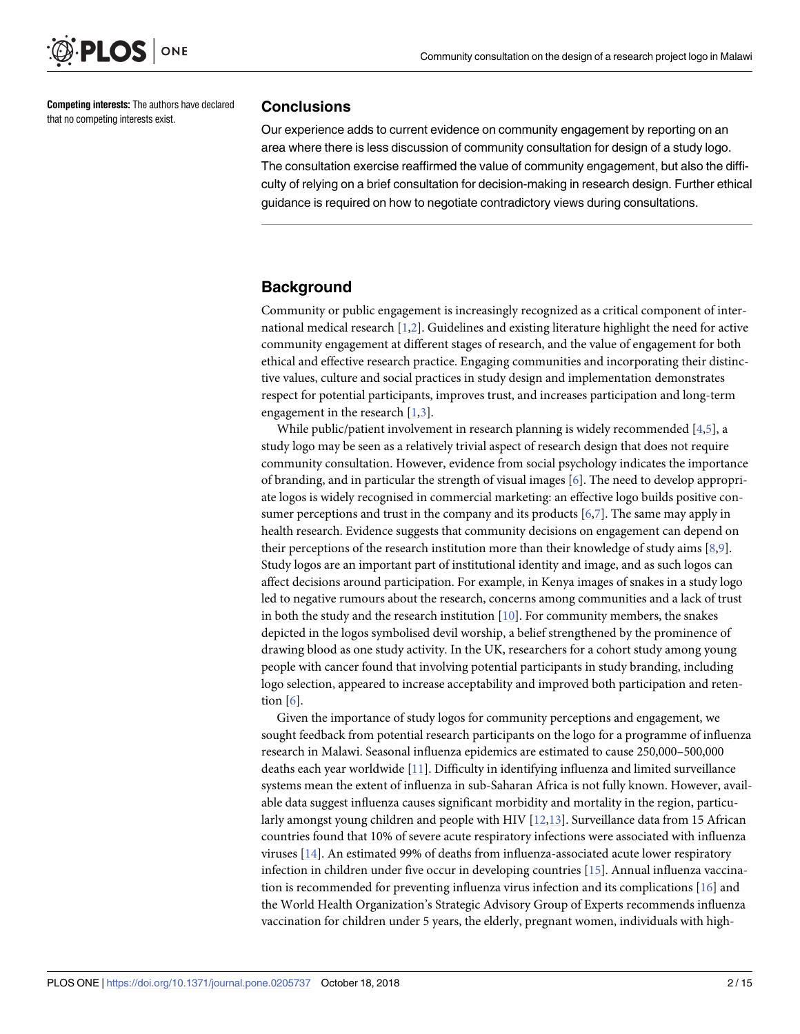<span id="page-1-0"></span>

**Competing interests:** The authors have declared that no competing interests exist.

### **Conclusions**

Our experience adds to current evidence on community engagement by reporting on an area where there is less discussion of community consultation for design of a study logo. The consultation exercise reaffirmed the value of community engagement, but also the difficulty of relying on a brief consultation for decision-making in research design. Further ethical guidance is required on how to negotiate contradictory views during consultations.

# **Background**

Community or public engagement is increasingly recognized as a critical component of international medical research [[1](#page-13-0),[2](#page-13-0)]. Guidelines and existing literature highlight the need for active community engagement at different stages of research, and the value of engagement for both ethical and effective research practice. Engaging communities and incorporating their distinctive values, culture and social practices in study design and implementation demonstrates respect for potential participants, improves trust, and increases participation and long-term engagement in the research [[1](#page-13-0),[3](#page-13-0)].

While public/patient involvement in research planning is widely recommended [\[4,5\]](#page-13-0), a study logo may be seen as a relatively trivial aspect of research design that does not require community consultation. However, evidence from social psychology indicates the importance of branding, and in particular the strength of visual images [\[6](#page-13-0)]. The need to develop appropriate logos is widely recognised in commercial marketing: an effective logo builds positive consumer perceptions and trust in the company and its products [\[6,7\]](#page-13-0). The same may apply in health research. Evidence suggests that community decisions on engagement can depend on their perceptions of the research institution more than their knowledge of study aims [\[8,9\]](#page-13-0). Study logos are an important part of institutional identity and image, and as such logos can affect decisions around participation. For example, in Kenya images of snakes in a study logo led to negative rumours about the research, concerns among communities and a lack of trust in both the study and the research institution  $[10]$  $[10]$  $[10]$ . For community members, the snakes depicted in the logos symbolised devil worship, a belief strengthened by the prominence of drawing blood as one study activity. In the UK, researchers for a cohort study among young people with cancer found that involving potential participants in study branding, including logo selection, appeared to increase acceptability and improved both participation and retention [[6\]](#page-13-0).

Given the importance of study logos for community perceptions and engagement, we sought feedback from potential research participants on the logo for a programme of influenza research in Malawi. Seasonal influenza epidemics are estimated to cause 250,000–500,000 deaths each year worldwide [\[11\]](#page-13-0). Difficulty in identifying influenza and limited surveillance systems mean the extent of influenza in sub-Saharan Africa is not fully known. However, available data suggest influenza causes significant morbidity and mortality in the region, particularly amongst young children and people with HIV [\[12](#page-13-0)[,13\]](#page-14-0). Surveillance data from 15 African countries found that 10% of severe acute respiratory infections were associated with influenza viruses [\[14\]](#page-14-0). An estimated 99% of deaths from influenza-associated acute lower respiratory infection in children under five occur in developing countries [[15](#page-14-0)]. Annual influenza vaccination is recommended for preventing influenza virus infection and its complications [\[16\]](#page-14-0) and the World Health Organization's Strategic Advisory Group of Experts recommends influenza vaccination for children under 5 years, the elderly, pregnant women, individuals with high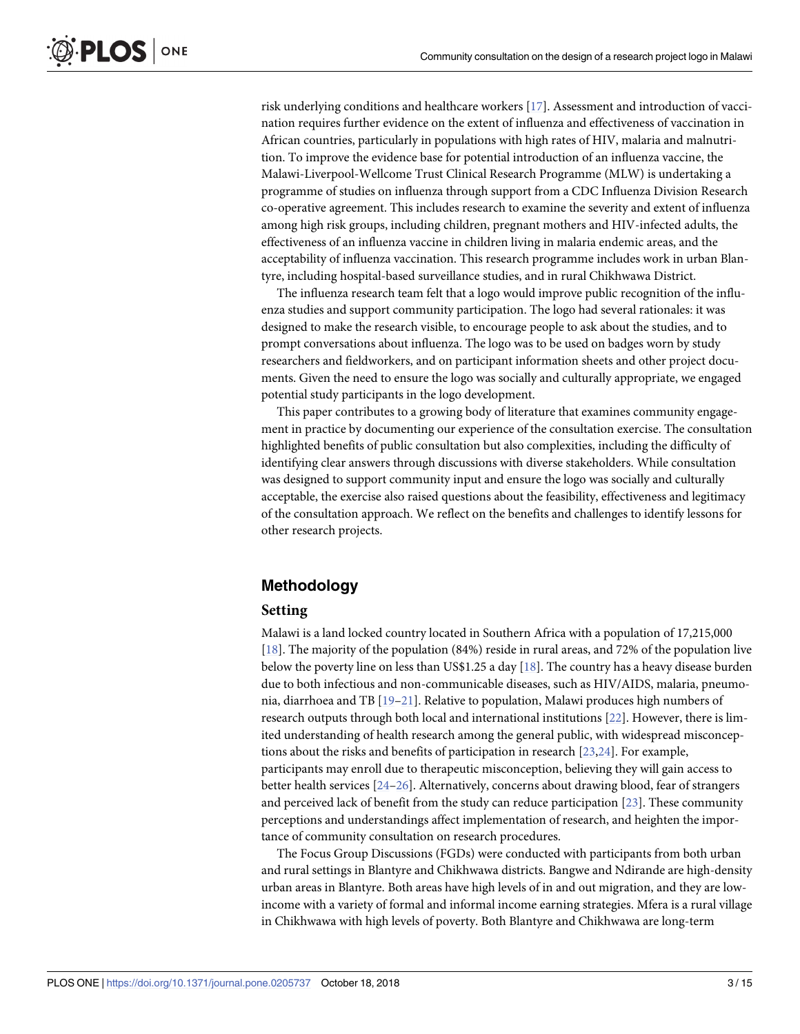<span id="page-2-0"></span>risk underlying conditions and healthcare workers [\[17\]](#page-14-0). Assessment and introduction of vaccination requires further evidence on the extent of influenza and effectiveness of vaccination in African countries, particularly in populations with high rates of HIV, malaria and malnutrition. To improve the evidence base for potential introduction of an influenza vaccine, the Malawi-Liverpool-Wellcome Trust Clinical Research Programme (MLW) is undertaking a programme of studies on influenza through support from a CDC Influenza Division Research co-operative agreement. This includes research to examine the severity and extent of influenza among high risk groups, including children, pregnant mothers and HIV-infected adults, the effectiveness of an influenza vaccine in children living in malaria endemic areas, and the acceptability of influenza vaccination. This research programme includes work in urban Blantyre, including hospital-based surveillance studies, and in rural Chikhwawa District.

The influenza research team felt that a logo would improve public recognition of the influenza studies and support community participation. The logo had several rationales: it was designed to make the research visible, to encourage people to ask about the studies, and to prompt conversations about influenza. The logo was to be used on badges worn by study researchers and fieldworkers, and on participant information sheets and other project documents. Given the need to ensure the logo was socially and culturally appropriate, we engaged potential study participants in the logo development.

This paper contributes to a growing body of literature that examines community engagement in practice by documenting our experience of the consultation exercise. The consultation highlighted benefits of public consultation but also complexities, including the difficulty of identifying clear answers through discussions with diverse stakeholders. While consultation was designed to support community input and ensure the logo was socially and culturally acceptable, the exercise also raised questions about the feasibility, effectiveness and legitimacy of the consultation approach. We reflect on the benefits and challenges to identify lessons for other research projects.

# **Methodology**

# **Setting**

Malawi is a land locked country located in Southern Africa with a population of 17,215,000 [\[18\]](#page-14-0). The majority of the population (84%) reside in rural areas, and 72% of the population live below the poverty line on less than US\$1.25 a day  $[18]$ . The country has a heavy disease burden due to both infectious and non-communicable diseases, such as HIV/AIDS, malaria, pneumonia, diarrhoea and TB [[19–21\]](#page-14-0). Relative to population, Malawi produces high numbers of research outputs through both local and international institutions [\[22\]](#page-14-0). However, there is limited understanding of health research among the general public, with widespread misconceptions about the risks and benefits of participation in research [\[23,24\]](#page-14-0). For example, participants may enroll due to therapeutic misconception, believing they will gain access to better health services [[24–26\]](#page-14-0). Alternatively, concerns about drawing blood, fear of strangers and perceived lack of benefit from the study can reduce participation [\[23\]](#page-14-0). These community perceptions and understandings affect implementation of research, and heighten the importance of community consultation on research procedures.

The Focus Group Discussions (FGDs) were conducted with participants from both urban and rural settings in Blantyre and Chikhwawa districts. Bangwe and Ndirande are high-density urban areas in Blantyre. Both areas have high levels of in and out migration, and they are lowincome with a variety of formal and informal income earning strategies. Mfera is a rural village in Chikhwawa with high levels of poverty. Both Blantyre and Chikhwawa are long-term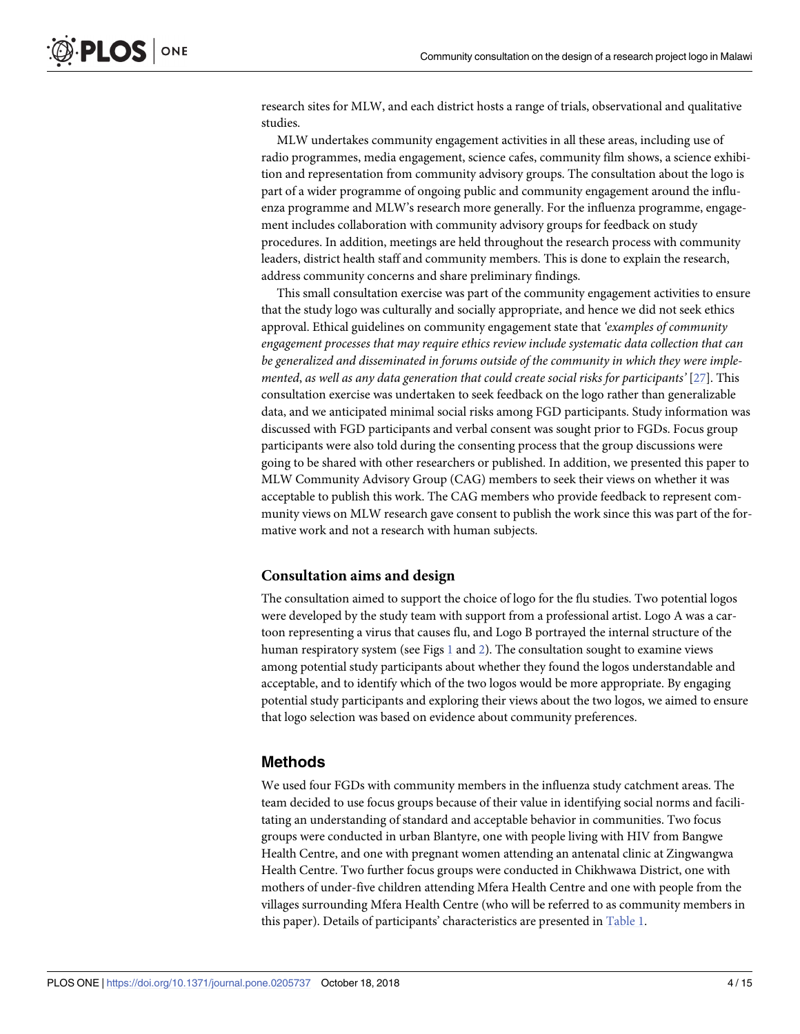<span id="page-3-0"></span>research sites for MLW, and each district hosts a range of trials, observational and qualitative studies.

MLW undertakes community engagement activities in all these areas, including use of radio programmes, media engagement, science cafes, community film shows, a science exhibition and representation from community advisory groups. The consultation about the logo is part of a wider programme of ongoing public and community engagement around the influenza programme and MLW's research more generally. For the influenza programme, engagement includes collaboration with community advisory groups for feedback on study procedures. In addition, meetings are held throughout the research process with community leaders, district health staff and community members. This is done to explain the research, address community concerns and share preliminary findings.

This small consultation exercise was part of the community engagement activities to ensure that the study logo was culturally and socially appropriate, and hence we did not seek ethics approval. Ethical guidelines on community engagement state that *'examples of community engagement processes that may require ethics review include systematic data collection that can be generalized and disseminated in forums outside of the community in which they were implemented*, *as well as any data generation that could create social risks for participants'* [[27](#page-14-0)]. This consultation exercise was undertaken to seek feedback on the logo rather than generalizable data, and we anticipated minimal social risks among FGD participants. Study information was discussed with FGD participants and verbal consent was sought prior to FGDs. Focus group participants were also told during the consenting process that the group discussions were going to be shared with other researchers or published. In addition, we presented this paper to MLW Community Advisory Group (CAG) members to seek their views on whether it was acceptable to publish this work. The CAG members who provide feedback to represent community views on MLW research gave consent to publish the work since this was part of the formative work and not a research with human subjects.

### **Consultation aims and design**

The consultation aimed to support the choice of logo for the flu studies. Two potential logos were developed by the study team with support from a professional artist. Logo A was a cartoon representing a virus that causes flu, and Logo B portrayed the internal structure of the human respiratory system (see Figs [1](#page-4-0) and [2](#page-4-0)). The consultation sought to examine views among potential study participants about whether they found the logos understandable and acceptable, and to identify which of the two logos would be more appropriate. By engaging potential study participants and exploring their views about the two logos, we aimed to ensure that logo selection was based on evidence about community preferences.

# **Methods**

We used four FGDs with community members in the influenza study catchment areas. The team decided to use focus groups because of their value in identifying social norms and facilitating an understanding of standard and acceptable behavior in communities. Two focus groups were conducted in urban Blantyre, one with people living with HIV from Bangwe Health Centre, and one with pregnant women attending an antenatal clinic at Zingwangwa Health Centre. Two further focus groups were conducted in Chikhwawa District, one with mothers of under-five children attending Mfera Health Centre and one with people from the villages surrounding Mfera Health Centre (who will be referred to as community members in this paper). Details of participants' characteristics are presented in [Table](#page-5-0) 1.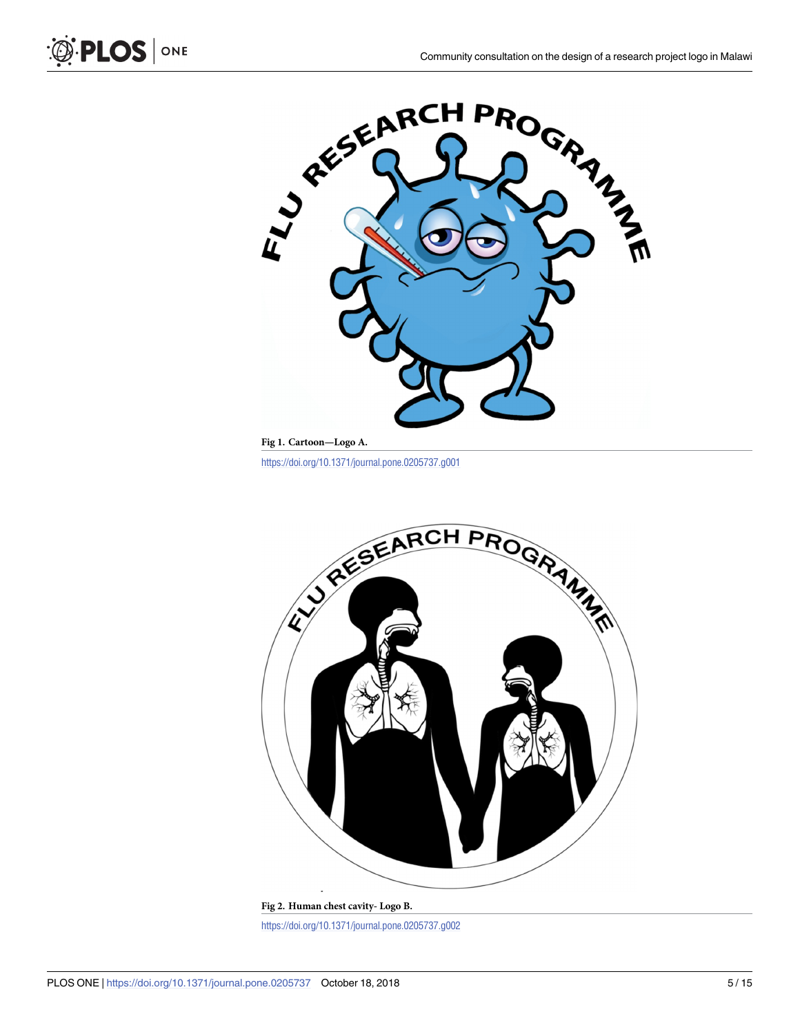

**[Fig](#page-3-0) 1. Cartoon—Logo A.**

<span id="page-4-0"></span>O PLOS ONE

<https://doi.org/10.1371/journal.pone.0205737.g001>



**[Fig](#page-3-0) 2. Human chest cavity- Logo B.** <https://doi.org/10.1371/journal.pone.0205737.g002>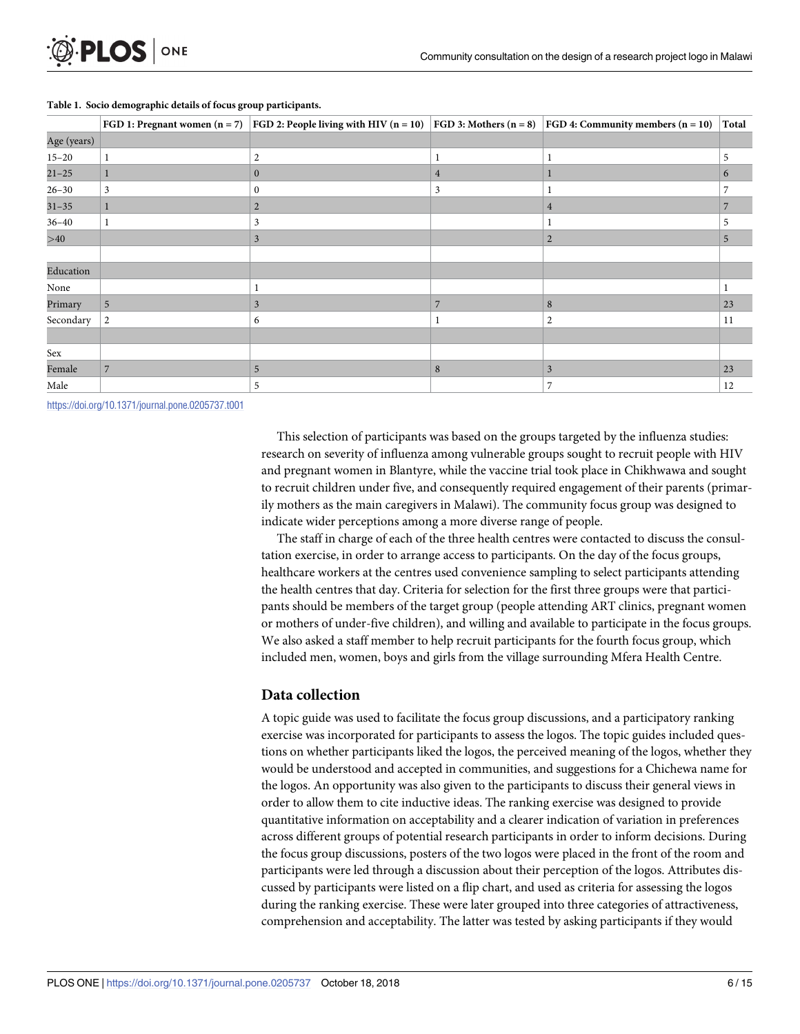|             | FGD 1: Pregnant women $(n = 7)$ | <b>FGD</b> 2: People living with HIV $(n = 10)$ | FGD 3: Mothers $(n = 8)$ | FGD 4: Community members $(n = 10)$ | Total |
|-------------|---------------------------------|-------------------------------------------------|--------------------------|-------------------------------------|-------|
| Age (years) |                                 |                                                 |                          |                                     |       |
| $15 - 20$   |                                 | 2                                               | 1                        |                                     | 5     |
| $21 - 25$   |                                 | $\mathbf{0}$                                    | 4                        |                                     | 6     |
| $26 - 30$   | $\mathfrak{Z}$                  | 0                                               | 3                        |                                     |       |
| $31 - 35$   |                                 | $\overline{2}$                                  |                          | $\overline{4}$                      | 7     |
| $36 - 40$   |                                 | 3                                               |                          |                                     |       |
| >40         |                                 | 3                                               |                          | $\overline{2}$                      | 5     |
|             |                                 |                                                 |                          |                                     |       |
| Education   |                                 |                                                 |                          |                                     |       |
| None        |                                 |                                                 |                          |                                     |       |
| Primary     | 5                               | 3                                               | $\overline{ }$           | 8                                   | 23    |
| Secondary   | $\overline{2}$                  | 6                                               |                          | 2                                   | 11    |
|             |                                 |                                                 |                          |                                     |       |
| Sex         |                                 |                                                 |                          |                                     |       |
| Female      | $\overline{7}$                  | 5                                               | 8                        | $\overline{3}$                      | 23    |
| Male        |                                 | 5                                               |                          |                                     | 12    |

#### <span id="page-5-0"></span>**[Table](#page-3-0) 1. Socio demographic details of focus group participants.**

<https://doi.org/10.1371/journal.pone.0205737.t001>

This selection of participants was based on the groups targeted by the influenza studies: research on severity of influenza among vulnerable groups sought to recruit people with HIV and pregnant women in Blantyre, while the vaccine trial took place in Chikhwawa and sought to recruit children under five, and consequently required engagement of their parents (primarily mothers as the main caregivers in Malawi). The community focus group was designed to indicate wider perceptions among a more diverse range of people.

The staff in charge of each of the three health centres were contacted to discuss the consultation exercise, in order to arrange access to participants. On the day of the focus groups, healthcare workers at the centres used convenience sampling to select participants attending the health centres that day. Criteria for selection for the first three groups were that participants should be members of the target group (people attending ART clinics, pregnant women or mothers of under-five children), and willing and available to participate in the focus groups. We also asked a staff member to help recruit participants for the fourth focus group, which included men, women, boys and girls from the village surrounding Mfera Health Centre.

### **Data collection**

A topic guide was used to facilitate the focus group discussions, and a participatory ranking exercise was incorporated for participants to assess the logos. The topic guides included questions on whether participants liked the logos, the perceived meaning of the logos, whether they would be understood and accepted in communities, and suggestions for a Chichewa name for the logos. An opportunity was also given to the participants to discuss their general views in order to allow them to cite inductive ideas. The ranking exercise was designed to provide quantitative information on acceptability and a clearer indication of variation in preferences across different groups of potential research participants in order to inform decisions. During the focus group discussions, posters of the two logos were placed in the front of the room and participants were led through a discussion about their perception of the logos. Attributes discussed by participants were listed on a flip chart, and used as criteria for assessing the logos during the ranking exercise. These were later grouped into three categories of attractiveness, comprehension and acceptability. The latter was tested by asking participants if they would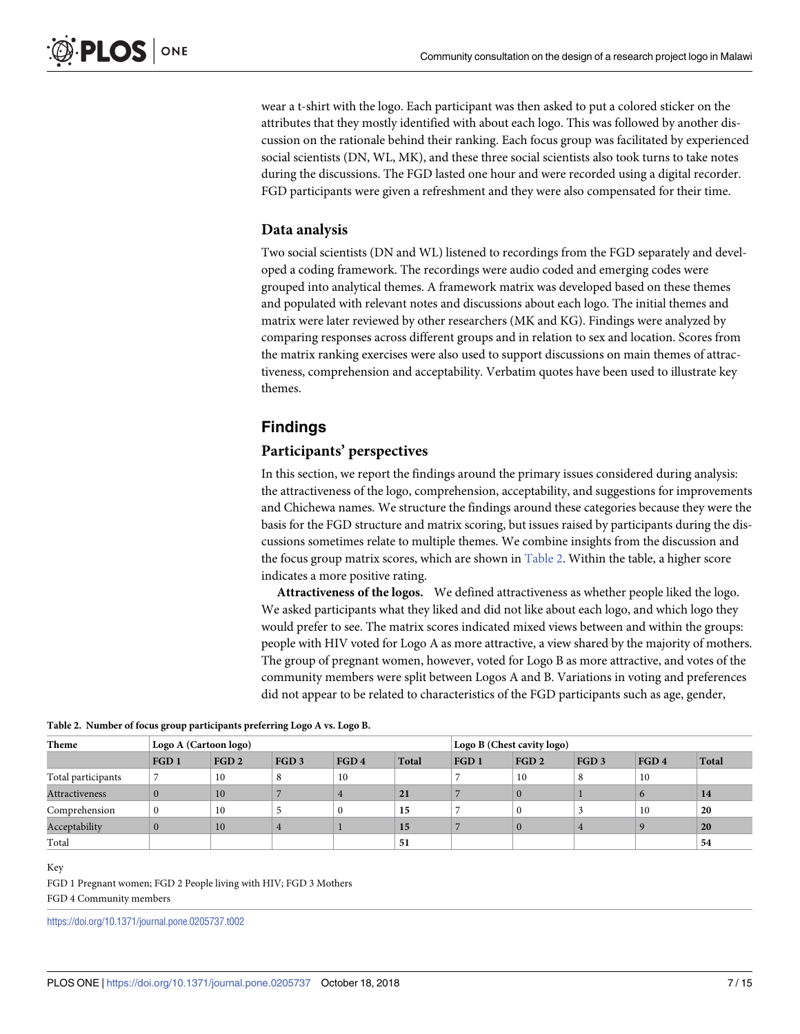wear a t-shirt with the logo. Each participant was then asked to put a colored sticker on the attributes that they mostly identified with about each logo. This was followed by another discussion on the rationale behind their ranking. Each focus group was facilitated by experienced social scientists (DN, WL, MK), and these three social scientists also took turns to take notes during the discussions. The FGD lasted one hour and were recorded using a digital recorder. FGD participants were given a refreshment and they were also compensated for their time.

### **Data analysis**

Two social scientists (DN and WL) listened to recordings from the FGD separately and developed a coding framework. The recordings were audio coded and emerging codes were grouped into analytical themes. A framework matrix was developed based on these themes and populated with relevant notes and discussions about each logo. The initial themes and matrix were later reviewed by other researchers (MK and KG). Findings were analyzed by comparing responses across different groups and in relation to sex and location. Scores from the matrix ranking exercises were also used to support discussions on main themes of attractiveness, comprehension and acceptability. Verbatim quotes have been used to illustrate key themes.

# **Findings**

### **Participants' perspectives**

In this section, we report the findings around the primary issues considered during analysis: the attractiveness of the logo, comprehension, acceptability, and suggestions for improvements and Chichewa names. We structure the findings around these categories because they were the basis for the FGD structure and matrix scoring, but issues raised by participants during the discussions sometimes relate to multiple themes. We combine insights from the discussion and the focus group matrix scores, which are shown in Table 2. Within the table, a higher score indicates a more positive rating.

**Attractiveness of the logos.** We defined attractiveness as whether people liked the logo. We asked participants what they liked and did not like about each logo, and which logo they would prefer to see. The matrix scores indicated mixed views between and within the groups: people with HIV voted for Logo A as more attractive, a view shared by the majority of mothers. The group of pregnant women, however, voted for Logo B as more attractive, and votes of the community members were split between Logos A and B. Variations in voting and preferences did not appear to be related to characteristics of the FGD participants such as age, gender,

| Theme                 | <b>Logo A (Cartoon logo)</b> |      |                  |      | Logo B (Chest cavity logo) |                  |          |      |      |           |
|-----------------------|------------------------------|------|------------------|------|----------------------------|------------------|----------|------|------|-----------|
|                       | FGD <sub>1</sub>             | FGD2 | FGD <sub>3</sub> | FGD4 | Total                      | FGD <sub>1</sub> | FGD2     | FGD3 | FGD4 | Total     |
| Total participants    |                              | 10   |                  | 10   |                            |                  | 10       |      | 10   |           |
| <b>Attractiveness</b> |                              | 10   |                  |      | 21                         |                  | $\theta$ |      |      | 14        |
| Comprehension         |                              | 10   |                  |      | 15                         |                  |          |      | 10   | 20        |
| Acceptability         |                              | 10   |                  |      | 15                         |                  | $\Omega$ |      |      | <b>20</b> |
| Total                 |                              |      |                  |      | 51                         |                  |          |      |      | 54        |

Key

FGD 1 Pregnant women; FGD 2 People living with HIV; FGD 3 Mothers

FGD 4 Community members

<https://doi.org/10.1371/journal.pone.0205737.t002>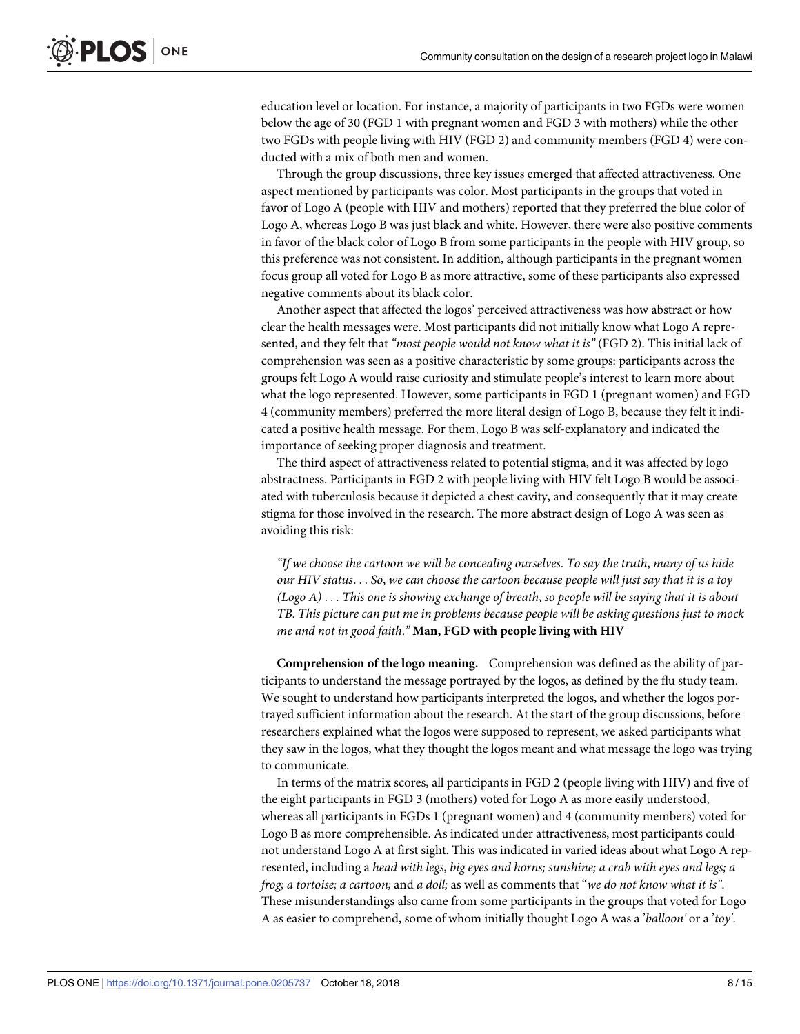education level or location. For instance, a majority of participants in two FGDs were women below the age of 30 (FGD 1 with pregnant women and FGD 3 with mothers) while the other two FGDs with people living with HIV (FGD 2) and community members (FGD 4) were conducted with a mix of both men and women.

Through the group discussions, three key issues emerged that affected attractiveness. One aspect mentioned by participants was color. Most participants in the groups that voted in favor of Logo A (people with HIV and mothers) reported that they preferred the blue color of Logo A, whereas Logo B was just black and white. However, there were also positive comments in favor of the black color of Logo B from some participants in the people with HIV group, so this preference was not consistent. In addition, although participants in the pregnant women focus group all voted for Logo B as more attractive, some of these participants also expressed negative comments about its black color.

Another aspect that affected the logos' perceived attractiveness was how abstract or how clear the health messages were. Most participants did not initially know what Logo A represented, and they felt that *"most people would not know what it is"* (FGD 2). This initial lack of comprehension was seen as a positive characteristic by some groups: participants across the groups felt Logo A would raise curiosity and stimulate people's interest to learn more about what the logo represented. However, some participants in FGD 1 (pregnant women) and FGD 4 (community members) preferred the more literal design of Logo B, because they felt it indicated a positive health message. For them, Logo B was self-explanatory and indicated the importance of seeking proper diagnosis and treatment.

The third aspect of attractiveness related to potential stigma, and it was affected by logo abstractness. Participants in FGD 2 with people living with HIV felt Logo B would be associated with tuberculosis because it depicted a chest cavity, and consequently that it may create stigma for those involved in the research. The more abstract design of Logo A was seen as avoiding this risk:

*"If we choose the cartoon we will be concealing ourselves*. *To say the truth*, *many of us hide* our HIV status... So, we can choose the cartoon because people will just say that it is a toy *(Logo A)* . . . *This one is showing exchange of breath*, *so people will be saying that it is about TB*. *This picture can put me in problems because people will be asking questions just to mock me and not in good faith*.*"* **Man, FGD with people living with HIV**

**Comprehension of the logo meaning.** Comprehension was defined as the ability of participants to understand the message portrayed by the logos, as defined by the flu study team. We sought to understand how participants interpreted the logos, and whether the logos portrayed sufficient information about the research. At the start of the group discussions, before researchers explained what the logos were supposed to represent, we asked participants what they saw in the logos, what they thought the logos meant and what message the logo was trying to communicate.

In terms of the matrix scores, all participants in FGD 2 (people living with HIV) and five of the eight participants in FGD 3 (mothers) voted for Logo A as more easily understood, whereas all participants in FGDs 1 (pregnant women) and 4 (community members) voted for Logo B as more comprehensible. As indicated under attractiveness, most participants could not understand Logo A at first sight. This was indicated in varied ideas about what Logo A represented, including a *head with legs*, *big eyes and horns; sunshine; a crab with eyes and legs; a frog; a tortoise; a cartoon;* and *a doll;* as well as comments that "*we do not know what it is"*. These misunderstandings also came from some participants in the groups that voted for Logo A as easier to comprehend, some of whom initially thought Logo A was a '*balloon'* or a '*toy'*.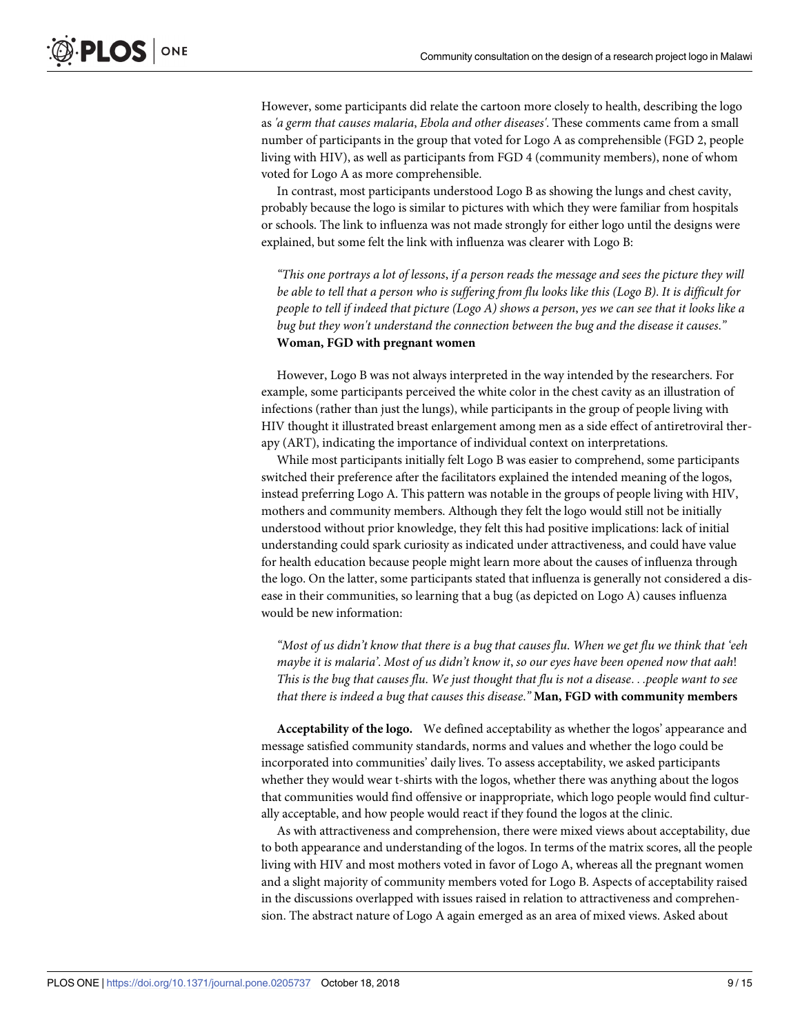However, some participants did relate the cartoon more closely to health, describing the logo as *'a germ that causes malaria*, *Ebola and other diseases'*. These comments came from a small number of participants in the group that voted for Logo A as comprehensible (FGD 2, people living with HIV), as well as participants from FGD 4 (community members), none of whom voted for Logo A as more comprehensible.

In contrast, most participants understood Logo B as showing the lungs and chest cavity, probably because the logo is similar to pictures with which they were familiar from hospitals or schools. The link to influenza was not made strongly for either logo until the designs were explained, but some felt the link with influenza was clearer with Logo B:

"This one portrays a lot of lessons, if a person reads the message and sees the picture they will be able to tell that a person who is suffering from flu looks like this (Logo B). It is difficult for people to tell if indeed that picture (Logo A) shows a person, yes we can see that it looks like a *bug but they won't understand the connection between the bug and the disease it causes*.*"* **Woman, FGD with pregnant women**

However, Logo B was not always interpreted in the way intended by the researchers. For example, some participants perceived the white color in the chest cavity as an illustration of infections (rather than just the lungs), while participants in the group of people living with HIV thought it illustrated breast enlargement among men as a side effect of antiretroviral therapy (ART), indicating the importance of individual context on interpretations.

While most participants initially felt Logo B was easier to comprehend, some participants switched their preference after the facilitators explained the intended meaning of the logos, instead preferring Logo A. This pattern was notable in the groups of people living with HIV, mothers and community members. Although they felt the logo would still not be initially understood without prior knowledge, they felt this had positive implications: lack of initial understanding could spark curiosity as indicated under attractiveness, and could have value for health education because people might learn more about the causes of influenza through the logo. On the latter, some participants stated that influenza is generally not considered a disease in their communities, so learning that a bug (as depicted on Logo A) causes influenza would be new information:

"Most of us didn't know that there is a bug that causes flu. When we get flu we think that 'eeh *maybe it is malaria'*. *Most of us didn't know it*, *so our eyes have been opened now that aah*! This is the bug that causes flu. We just thought that flu is not a disease...people want to see *that there is indeed a bug that causes this disease*.*"* **Man, FGD with community members**

**Acceptability of the logo.** We defined acceptability as whether the logos' appearance and message satisfied community standards, norms and values and whether the logo could be incorporated into communities' daily lives. To assess acceptability, we asked participants whether they would wear t-shirts with the logos, whether there was anything about the logos that communities would find offensive or inappropriate, which logo people would find culturally acceptable, and how people would react if they found the logos at the clinic.

As with attractiveness and comprehension, there were mixed views about acceptability, due to both appearance and understanding of the logos. In terms of the matrix scores, all the people living with HIV and most mothers voted in favor of Logo A, whereas all the pregnant women and a slight majority of community members voted for Logo B. Aspects of acceptability raised in the discussions overlapped with issues raised in relation to attractiveness and comprehension. The abstract nature of Logo A again emerged as an area of mixed views. Asked about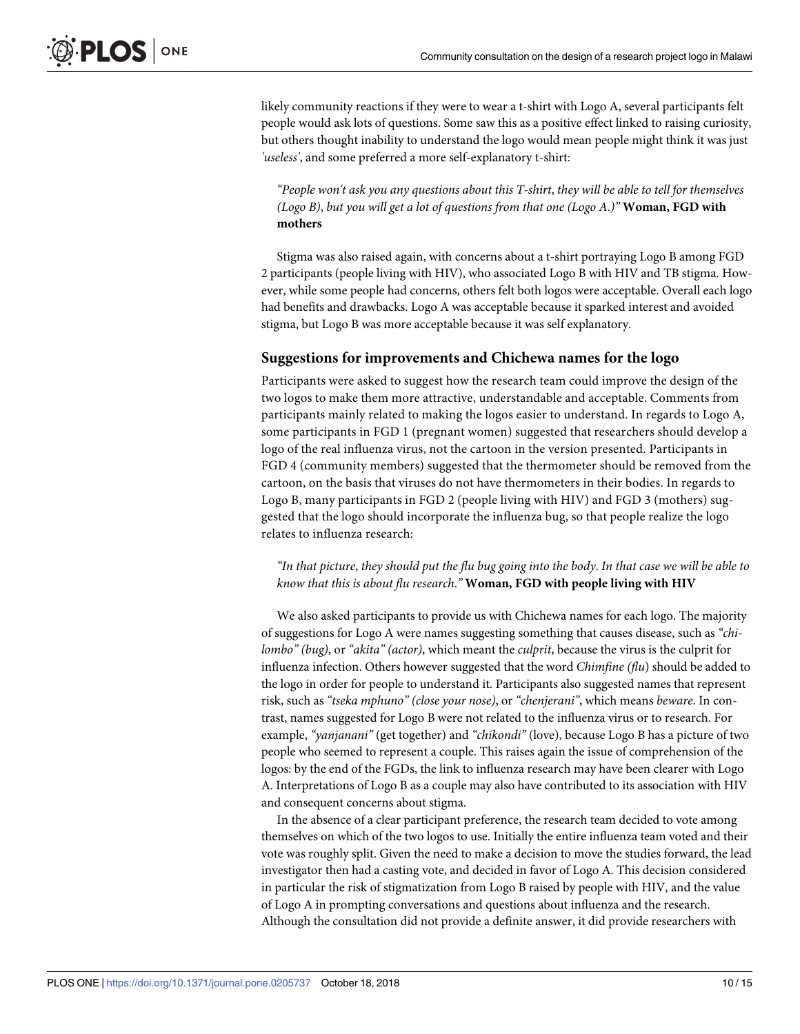likely community reactions if they were to wear a t-shirt with Logo A, several participants felt people would ask lots of questions. Some saw this as a positive effect linked to raising curiosity, but others thought inability to understand the logo would mean people might think it was just *'useless'*, and some preferred a more self-explanatory t-shirt:

*"People won't ask you any questions about this T-shirt*, *they will be able to tell for themselves (Logo B)*, *but you will get a lot of questions from that one (Logo A*.*)"* **Woman, FGD with mothers**

Stigma was also raised again, with concerns about a t-shirt portraying Logo B among FGD 2 participants (people living with HIV), who associated Logo B with HIV and TB stigma. However, while some people had concerns, others felt both logos were acceptable. Overall each logo had benefits and drawbacks. Logo A was acceptable because it sparked interest and avoided stigma, but Logo B was more acceptable because it was self explanatory.

### **Suggestions for improvements and Chichewa names for the logo**

Participants were asked to suggest how the research team could improve the design of the two logos to make them more attractive, understandable and acceptable. Comments from participants mainly related to making the logos easier to understand. In regards to Logo A, some participants in FGD 1 (pregnant women) suggested that researchers should develop a logo of the real influenza virus, not the cartoon in the version presented. Participants in FGD 4 (community members) suggested that the thermometer should be removed from the cartoon, on the basis that viruses do not have thermometers in their bodies. In regards to Logo B, many participants in FGD 2 (people living with HIV) and FGD 3 (mothers) suggested that the logo should incorporate the influenza bug, so that people realize the logo relates to influenza research:

"In that picture, they should put the flu bug going into the body. In that case we will be able to *know that this is about flu research*.*"* **Woman, FGD with people living with HIV**

We also asked participants to provide us with Chichewa names for each logo. The majority of suggestions for Logo A were names suggesting something that causes disease, such as *"chilombo" (bug)*, or *"akita" (actor)*, which meant the *culprit*, because the virus is the culprit for influenza infection. Others however suggested that the word *Chimfine (flu*) should be added to the logo in order for people to understand it. Participants also suggested names that represent risk, such as *"tseka mphuno" (close your nose)*, or *"chenjerani"*, which means *beware*. In contrast, names suggested for Logo B were not related to the influenza virus or to research. For example, *"yanjanani"* (get together) and *"chikondi"* (love), because Logo B has a picture of two people who seemed to represent a couple. This raises again the issue of comprehension of the logos: by the end of the FGDs, the link to influenza research may have been clearer with Logo A. Interpretations of Logo B as a couple may also have contributed to its association with HIV and consequent concerns about stigma.

In the absence of a clear participant preference, the research team decided to vote among themselves on which of the two logos to use. Initially the entire influenza team voted and their vote was roughly split. Given the need to make a decision to move the studies forward, the lead investigator then had a casting vote, and decided in favor of Logo A. This decision considered in particular the risk of stigmatization from Logo B raised by people with HIV, and the value of Logo A in prompting conversations and questions about influenza and the research. Although the consultation did not provide a definite answer, it did provide researchers with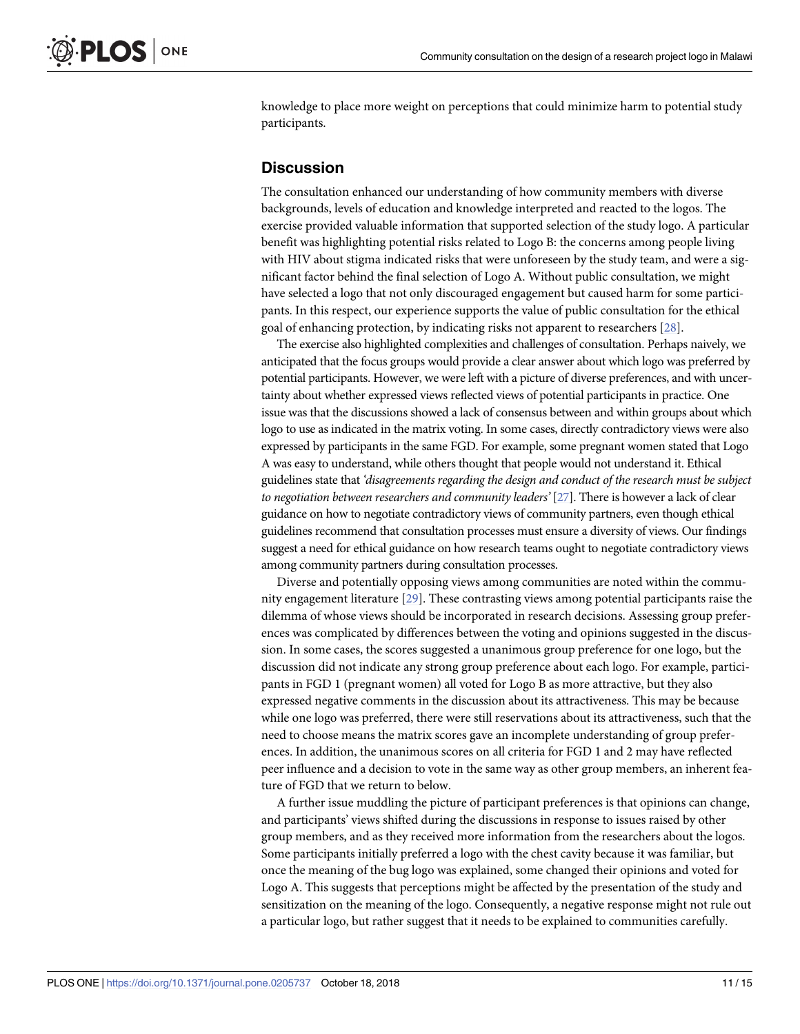<span id="page-10-0"></span>knowledge to place more weight on perceptions that could minimize harm to potential study participants.

# **Discussion**

The consultation enhanced our understanding of how community members with diverse backgrounds, levels of education and knowledge interpreted and reacted to the logos. The exercise provided valuable information that supported selection of the study logo. A particular benefit was highlighting potential risks related to Logo B: the concerns among people living with HIV about stigma indicated risks that were unforeseen by the study team, and were a significant factor behind the final selection of Logo A. Without public consultation, we might have selected a logo that not only discouraged engagement but caused harm for some participants. In this respect, our experience supports the value of public consultation for the ethical goal of enhancing protection, by indicating risks not apparent to researchers [\[28\]](#page-14-0).

The exercise also highlighted complexities and challenges of consultation. Perhaps naively, we anticipated that the focus groups would provide a clear answer about which logo was preferred by potential participants. However, we were left with a picture of diverse preferences, and with uncertainty about whether expressed views reflected views of potential participants in practice. One issue was that the discussions showed a lack of consensus between and within groups about which logo to use as indicated in the matrix voting. In some cases, directly contradictory views were also expressed by participants in the same FGD. For example, some pregnant women stated that Logo A was easy to understand, while others thought that people would not understand it. Ethical guidelines state that *'disagreements regarding the design and conduct of the research must be subject to negotiation between researchers and community leaders'* [[27\]](#page-14-0). There is however a lack of clear guidance on how to negotiate contradictory views of community partners, even though ethical guidelines recommend that consultation processes must ensure a diversity of views. Our findings suggest a need for ethical guidance on how research teams ought to negotiate contradictory views among community partners during consultation processes.

Diverse and potentially opposing views among communities are noted within the community engagement literature [[29](#page-14-0)]. These contrasting views among potential participants raise the dilemma of whose views should be incorporated in research decisions. Assessing group preferences was complicated by differences between the voting and opinions suggested in the discussion. In some cases, the scores suggested a unanimous group preference for one logo, but the discussion did not indicate any strong group preference about each logo. For example, participants in FGD 1 (pregnant women) all voted for Logo B as more attractive, but they also expressed negative comments in the discussion about its attractiveness. This may be because while one logo was preferred, there were still reservations about its attractiveness, such that the need to choose means the matrix scores gave an incomplete understanding of group preferences. In addition, the unanimous scores on all criteria for FGD 1 and 2 may have reflected peer influence and a decision to vote in the same way as other group members, an inherent feature of FGD that we return to below.

A further issue muddling the picture of participant preferences is that opinions can change, and participants' views shifted during the discussions in response to issues raised by other group members, and as they received more information from the researchers about the logos. Some participants initially preferred a logo with the chest cavity because it was familiar, but once the meaning of the bug logo was explained, some changed their opinions and voted for Logo A. This suggests that perceptions might be affected by the presentation of the study and sensitization on the meaning of the logo. Consequently, a negative response might not rule out a particular logo, but rather suggest that it needs to be explained to communities carefully.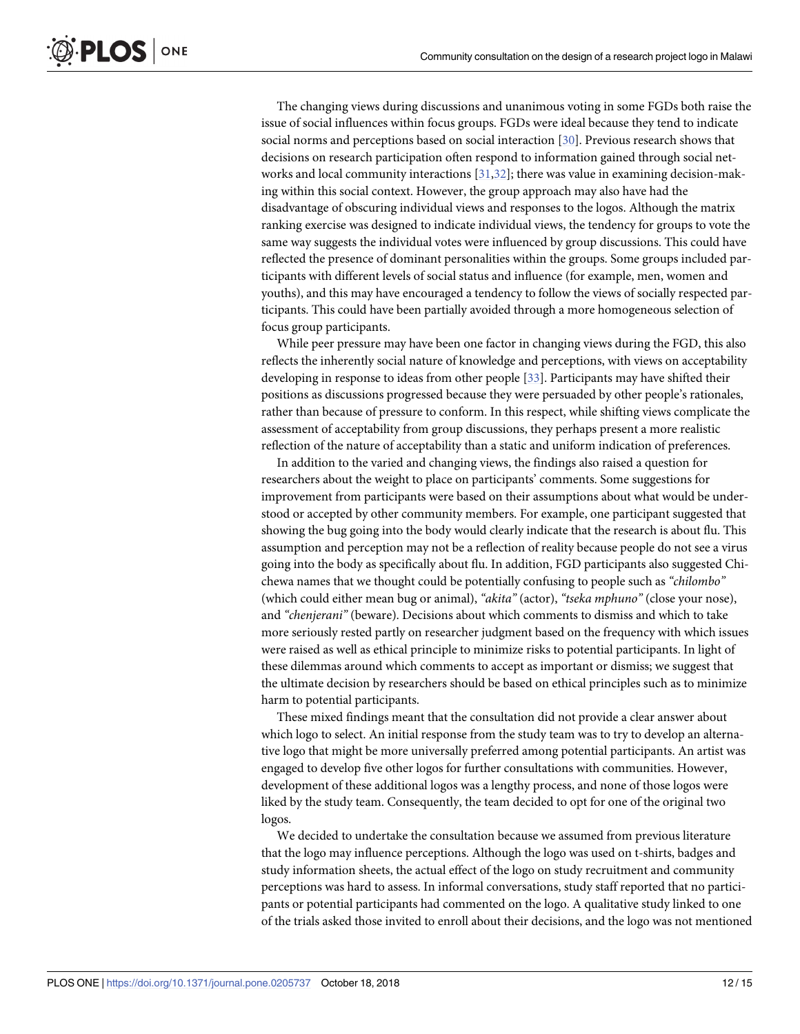<span id="page-11-0"></span>The changing views during discussions and unanimous voting in some FGDs both raise the issue of social influences within focus groups. FGDs were ideal because they tend to indicate social norms and perceptions based on social interaction [\[30\]](#page-14-0). Previous research shows that decisions on research participation often respond to information gained through social networks and local community interactions [\[31,32\]](#page-14-0); there was value in examining decision-making within this social context. However, the group approach may also have had the disadvantage of obscuring individual views and responses to the logos. Although the matrix ranking exercise was designed to indicate individual views, the tendency for groups to vote the same way suggests the individual votes were influenced by group discussions. This could have reflected the presence of dominant personalities within the groups. Some groups included participants with different levels of social status and influence (for example, men, women and youths), and this may have encouraged a tendency to follow the views of socially respected participants. This could have been partially avoided through a more homogeneous selection of focus group participants.

While peer pressure may have been one factor in changing views during the FGD, this also reflects the inherently social nature of knowledge and perceptions, with views on acceptability developing in response to ideas from other people [[33](#page-14-0)]. Participants may have shifted their positions as discussions progressed because they were persuaded by other people's rationales, rather than because of pressure to conform. In this respect, while shifting views complicate the assessment of acceptability from group discussions, they perhaps present a more realistic reflection of the nature of acceptability than a static and uniform indication of preferences.

In addition to the varied and changing views, the findings also raised a question for researchers about the weight to place on participants' comments. Some suggestions for improvement from participants were based on their assumptions about what would be understood or accepted by other community members. For example, one participant suggested that showing the bug going into the body would clearly indicate that the research is about flu. This assumption and perception may not be a reflection of reality because people do not see a virus going into the body as specifically about flu. In addition, FGD participants also suggested Chichewa names that we thought could be potentially confusing to people such as *"chilombo"* (which could either mean bug or animal), *"akita"* (actor), *"tseka mphuno"* (close your nose), and *"chenjerani"* (beware). Decisions about which comments to dismiss and which to take more seriously rested partly on researcher judgment based on the frequency with which issues were raised as well as ethical principle to minimize risks to potential participants. In light of these dilemmas around which comments to accept as important or dismiss; we suggest that the ultimate decision by researchers should be based on ethical principles such as to minimize harm to potential participants.

These mixed findings meant that the consultation did not provide a clear answer about which logo to select. An initial response from the study team was to try to develop an alternative logo that might be more universally preferred among potential participants. An artist was engaged to develop five other logos for further consultations with communities. However, development of these additional logos was a lengthy process, and none of those logos were liked by the study team. Consequently, the team decided to opt for one of the original two logos.

We decided to undertake the consultation because we assumed from previous literature that the logo may influence perceptions. Although the logo was used on t-shirts, badges and study information sheets, the actual effect of the logo on study recruitment and community perceptions was hard to assess. In informal conversations, study staff reported that no participants or potential participants had commented on the logo. A qualitative study linked to one of the trials asked those invited to enroll about their decisions, and the logo was not mentioned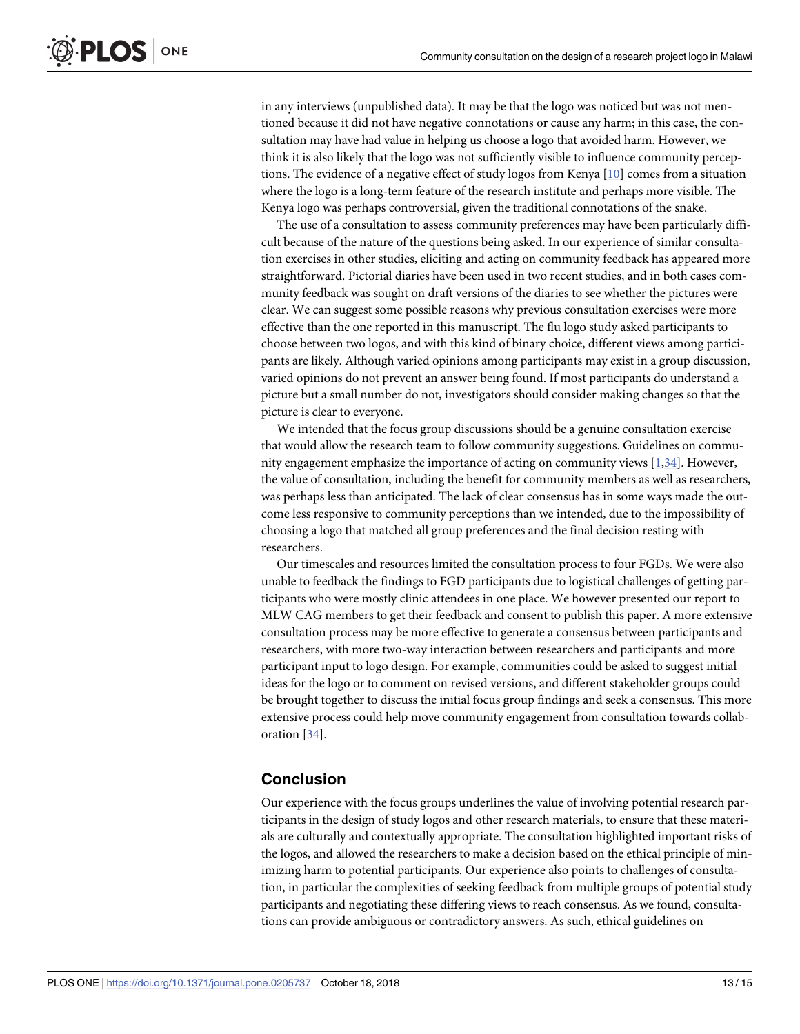<span id="page-12-0"></span>in any interviews (unpublished data). It may be that the logo was noticed but was not mentioned because it did not have negative connotations or cause any harm; in this case, the consultation may have had value in helping us choose a logo that avoided harm. However, we think it is also likely that the logo was not sufficiently visible to influence community perceptions. The evidence of a negative effect of study logos from Kenya [\[10\]](#page-13-0) comes from a situation where the logo is a long-term feature of the research institute and perhaps more visible. The Kenya logo was perhaps controversial, given the traditional connotations of the snake.

The use of a consultation to assess community preferences may have been particularly difficult because of the nature of the questions being asked. In our experience of similar consultation exercises in other studies, eliciting and acting on community feedback has appeared more straightforward. Pictorial diaries have been used in two recent studies, and in both cases community feedback was sought on draft versions of the diaries to see whether the pictures were clear. We can suggest some possible reasons why previous consultation exercises were more effective than the one reported in this manuscript. The flu logo study asked participants to choose between two logos, and with this kind of binary choice, different views among participants are likely. Although varied opinions among participants may exist in a group discussion, varied opinions do not prevent an answer being found. If most participants do understand a picture but a small number do not, investigators should consider making changes so that the picture is clear to everyone.

We intended that the focus group discussions should be a genuine consultation exercise that would allow the research team to follow community suggestions. Guidelines on community engagement emphasize the importance of acting on community views [[1](#page-13-0)[,34\]](#page-14-0). However, the value of consultation, including the benefit for community members as well as researchers, was perhaps less than anticipated. The lack of clear consensus has in some ways made the outcome less responsive to community perceptions than we intended, due to the impossibility of choosing a logo that matched all group preferences and the final decision resting with researchers.

Our timescales and resources limited the consultation process to four FGDs. We were also unable to feedback the findings to FGD participants due to logistical challenges of getting participants who were mostly clinic attendees in one place. We however presented our report to MLW CAG members to get their feedback and consent to publish this paper. A more extensive consultation process may be more effective to generate a consensus between participants and researchers, with more two-way interaction between researchers and participants and more participant input to logo design. For example, communities could be asked to suggest initial ideas for the logo or to comment on revised versions, and different stakeholder groups could be brought together to discuss the initial focus group findings and seek a consensus. This more extensive process could help move community engagement from consultation towards collaboration [[34](#page-14-0)].

# **Conclusion**

Our experience with the focus groups underlines the value of involving potential research participants in the design of study logos and other research materials, to ensure that these materials are culturally and contextually appropriate. The consultation highlighted important risks of the logos, and allowed the researchers to make a decision based on the ethical principle of minimizing harm to potential participants. Our experience also points to challenges of consultation, in particular the complexities of seeking feedback from multiple groups of potential study participants and negotiating these differing views to reach consensus. As we found, consultations can provide ambiguous or contradictory answers. As such, ethical guidelines on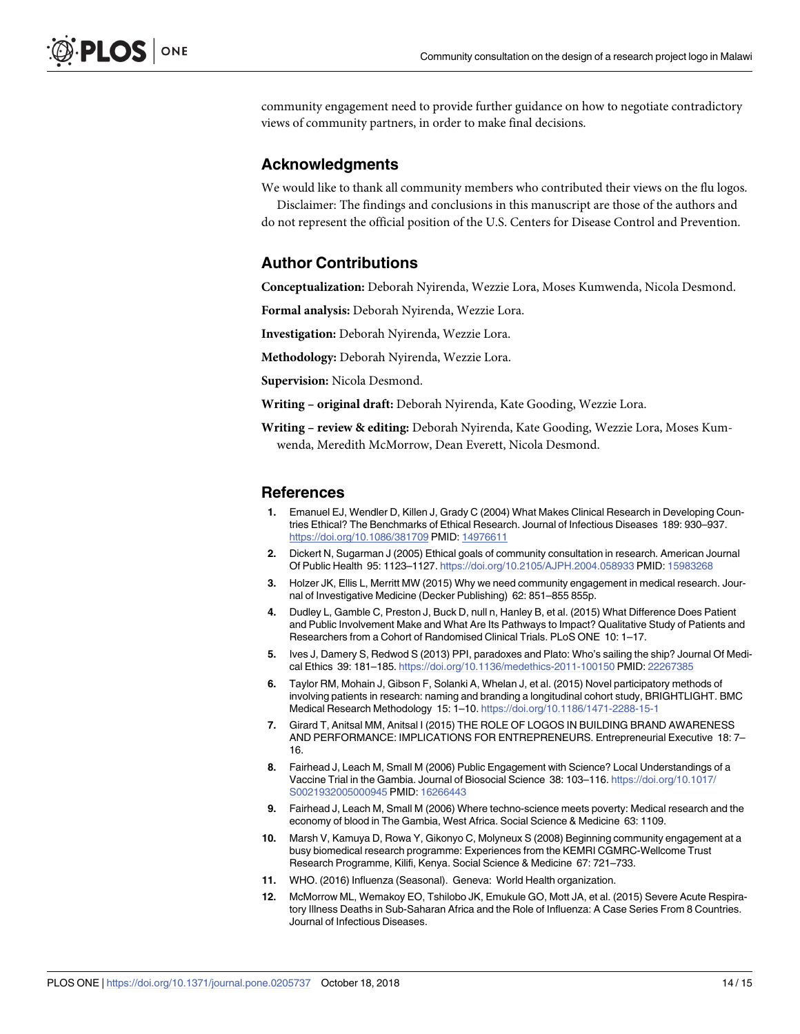<span id="page-13-0"></span>community engagement need to provide further guidance on how to negotiate contradictory views of community partners, in order to make final decisions.

# **Acknowledgments**

We would like to thank all community members who contributed their views on the flu logos.

Disclaimer: The findings and conclusions in this manuscript are those of the authors and do not represent the official position of the U.S. Centers for Disease Control and Prevention.

### **Author Contributions**

**Conceptualization:** Deborah Nyirenda, Wezzie Lora, Moses Kumwenda, Nicola Desmond.

**Formal analysis:** Deborah Nyirenda, Wezzie Lora.

**Investigation:** Deborah Nyirenda, Wezzie Lora.

**Methodology:** Deborah Nyirenda, Wezzie Lora.

**Supervision:** Nicola Desmond.

**Writing – original draft:** Deborah Nyirenda, Kate Gooding, Wezzie Lora.

**Writing – review & editing:** Deborah Nyirenda, Kate Gooding, Wezzie Lora, Moses Kumwenda, Meredith McMorrow, Dean Everett, Nicola Desmond.

#### **References**

- **[1](#page-1-0).** Emanuel EJ, Wendler D, Killen J, Grady C (2004) What Makes Clinical Research in Developing Countries Ethical? The Benchmarks of Ethical Research. Journal of Infectious Diseases 189: 930–937. <https://doi.org/10.1086/381709> PMID: [14976611](http://www.ncbi.nlm.nih.gov/pubmed/14976611)
- **[2](#page-1-0).** Dickert N, Sugarman J (2005) Ethical goals of community consultation in research. American Journal Of Public Health 95: 1123–1127. <https://doi.org/10.2105/AJPH.2004.058933> PMID: [15983268](http://www.ncbi.nlm.nih.gov/pubmed/15983268)
- **[3](#page-1-0).** Holzer JK, Ellis L, Merritt MW (2015) Why we need community engagement in medical research. Journal of Investigative Medicine (Decker Publishing) 62: 851–855 855p.
- **[4](#page-1-0).** Dudley L, Gamble C, Preston J, Buck D, null n, Hanley B, et al. (2015) What Difference Does Patient and Public Involvement Make and What Are Its Pathways to Impact? Qualitative Study of Patients and Researchers from a Cohort of Randomised Clinical Trials. PLoS ONE 10: 1–17.
- **[5](#page-1-0).** Ives J, Damery S, Redwod S (2013) PPI, paradoxes and Plato: Who's sailing the ship? Journal Of Medical Ethics 39: 181–185. <https://doi.org/10.1136/medethics-2011-100150> PMID: [22267385](http://www.ncbi.nlm.nih.gov/pubmed/22267385)
- **[6](#page-1-0).** Taylor RM, Mohain J, Gibson F, Solanki A, Whelan J, et al. (2015) Novel participatory methods of involving patients in research: naming and branding a longitudinal cohort study, BRIGHTLIGHT. BMC Medical Research Methodology 15: 1–10. <https://doi.org/10.1186/1471-2288-15-1>
- **[7](#page-1-0).** Girard T, Anitsal MM, Anitsal I (2015) THE ROLE OF LOGOS IN BUILDING BRAND AWARENESS AND PERFORMANCE: IMPLICATIONS FOR ENTREPRENEURS. Entrepreneurial Executive 18: 7– 16.
- **[8](#page-1-0).** Fairhead J, Leach M, Small M (2006) Public Engagement with Science? Local Understandings of a Vaccine Trial in the Gambia. Journal of Biosocial Science 38: 103–116. [https://doi.org/10.1017/](https://doi.org/10.1017/S0021932005000945) [S0021932005000945](https://doi.org/10.1017/S0021932005000945) PMID: [16266443](http://www.ncbi.nlm.nih.gov/pubmed/16266443)
- **[9](#page-1-0).** Fairhead J, Leach M, Small M (2006) Where techno-science meets poverty: Medical research and the economy of blood in The Gambia, West Africa. Social Science & Medicine 63: 1109.
- **[10](#page-1-0).** Marsh V, Kamuya D, Rowa Y, Gikonyo C, Molyneux S (2008) Beginning community engagement at a busy biomedical research programme: Experiences from the KEMRI CGMRC-Wellcome Trust Research Programme, Kilifi, Kenya. Social Science & Medicine 67: 721–733.
- **[11](#page-1-0).** WHO. (2016) Influenza (Seasonal). Geneva: World Health organization.
- **[12](#page-1-0).** McMorrow ML, Wemakoy EO, Tshilobo JK, Emukule GO, Mott JA, et al. (2015) Severe Acute Respiratory Illness Deaths in Sub-Saharan Africa and the Role of Influenza: A Case Series From 8 Countries. Journal of Infectious Diseases.